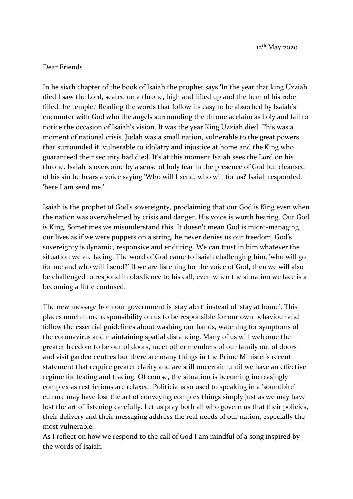12th May 2020

## Dear Friends

In he sixth chapter of the book of Isaiah the prophet says 'In the year that king Uzziah died I saw the Lord, seated on a throne, high and lifted up and the hem of his robe filled the temple.' Reading the words that follow its easy to be absorbed by Isaiah's encounter with God who the angels surrounding the throne acclaim as holy and fail to notice the occasion of Isaiah's vision. It was the year King Uzziah died. This was a moment of national crisis. Judah was a small nation, vulnerable to the great powers that surrounded it, vulnerable to idolatry and injustice at home and the King who guaranteed their security had died. It's at this moment Isaiah sees the Lord on his throne. Isaiah is overcome by a sense of holy fear in the presence of God but cleansed of his sin he hears a voice saying 'Who will I send, who will for us? Isaiah responded, 'here I am send me.'

Isaiah is the prophet of God's sovereignty, proclaiming that our God is King even when the nation was overwhelmed by crisis and danger. His voice is worth hearing. Our God is King. Sometimes we misunderstand this. It doesn't mean God is micro-managing our lives as if we were puppets on a string, he never denies us our freedom, God's sovereignty is dynamic, responsive and enduring. We can trust in him whatever the situation we are facing. The word of God came to Isaiah challenging him, 'who will go for me and who will I send?' If we are listening for the voice of God, then we will also be challenged to respond in obedience to his call, even when the situation we face is a becoming a little confused.

The new message from our government is 'stay alert' instead of 'stay at home'. This places much more responsibility on us to be responsible for our own behaviour and follow the essential guidelines about washing our hands, watching for symptoms of the coronavirus and maintaining spatial distancing. Many of us will welcome the greater freedom to be out of doors, meet other members of our family out of doors and visit garden centres but there are many things in the Prime Minister's recent statement that require greater clarity and are still uncertain until we have an effective regime for testing and tracing. Of course, the situation is becoming increasingly complex as restrictions are relaxed. Politicians so used to speaking in a 'soundbite' culture may have lost the art of conveying complex things simply just as we may have lost the art of listening carefully. Let us pray both all who govern us that their policies, their delivery and their messaging address the real needs of our nation, especially the most vulnerable.

As I reflect on how we respond to the call of God I am mindful of a song inspired by the words of Isaiah.